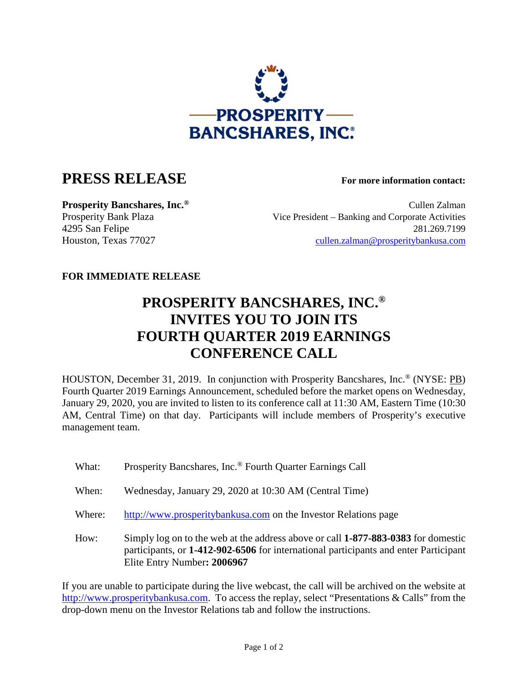

## **PRESS RELEASE For more information contact:**

**Prosperity Bancshares, Inc.<sup>®</sup> Cullen Zalman** Cullen Zalman Prosperity Bank Plaza Vice President – Banking and Corporate Activities 4295 San Felipe 281.269.7199 Houston, Texas 77027 [cullen.zalman@prosperitybankusa.com](mailto:cullen.zalman@prosperitybankusa.com)

## **FOR IMMEDIATE RELEASE**

## **PROSPERITY BANCSHARES, INC.® INVITES YOU TO JOIN ITS FOURTH QUARTER 2019 EARNINGS CONFERENCE CALL**

HOUSTON, December 31, 2019. In conjunction with Prosperity Bancshares, Inc.® (NYSE: PB) Fourth Quarter 2019 Earnings Announcement, scheduled before the market opens on Wednesday, January 29, 2020, you are invited to listen to its conference call at 11:30 AM, Eastern Time (10:30 AM, Central Time) on that day. Participants will include members of Prosperity's executive management team.

- What: Prosperity Bancshares, Inc.<sup>®</sup> Fourth Quarter Earnings Call
- When: Wednesday, January 29, 2020 at 10:30 AM (Central Time)
- Where: http://www.prosperitybankusa.com on the Investor Relations page
- How: Simply log on to the web at the address above or call **1-877-883-0383** for domestic participants, or **1-412-902-6506** for international participants and enter Participant Elite Entry Number**: 2006967**

If you are unable to participate during the live webcast, the call will be archived on the website at http://www.prosperitybankusa.com. To access the replay, select "Presentations & Calls" from the drop-down menu on the Investor Relations tab and follow the instructions.